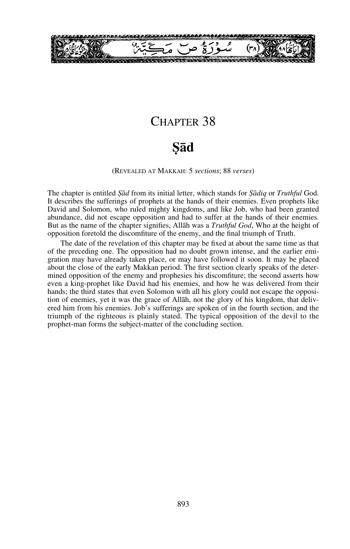

# CHAPTER 38

# **˝åd**

(REVEALED AT MAKKAH: 5 *sections*; 88 *verses*)

The chapter is entitled *˝åd* from its initial letter, which stands for *˝ådiq* or *Truthful* God. It describes the sufferings of prophets at the hands of their enemies. Even prophets like David and Solomon, who ruled mighty kingdoms, and like Job, who had been granted abundance, did not escape opposition and had to suffer at the hands of their enemies. But as the name of the chapter signifies, Allåh was a *Truthful God*, Who at the height of opposition foretold the discomfiture of the enemy, and the final triumph of Truth.

The date of the revelation of this chapter may be fixed at about the same time as that of the preceding one. The opposition had no doubt grown intense, and the earlier emigration may have already taken place, or may have followed it soon. It may be placed about the close of the early Makkan period. The first section clearly speaks of the determined opposition of the enemy and prophesies his discomfiture; the second asserts how even a king-prophet like David had his enemies, and how he was delivered from their hands; the third states that even Solomon with all his glory could not escape the opposition of enemies, yet it was the grace of Allåh, not the glory of his kingdom, that delivered him from his enemies. Job's sufferings are spoken of in the fourth section, and the triumph of the righteous is plainly stated. The typical opposition of the devil to the prophet-man forms the subject-matter of the concluding section.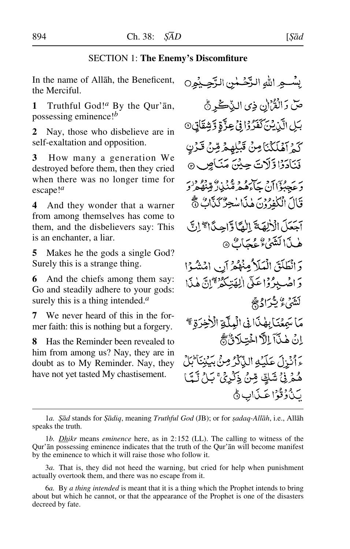## SECTION 1: **The Enemy's Discomfiture**

In the name of Allåh, the Beneficent, the Merciful.

**1** Truthful God!*<sup>a</sup>* By the Qur'ån, possessing eminence!*<sup>b</sup>*

**2** Nay, those who disbelieve are in self-exaltation and opposition.

**3** How many a generation We destroyed before them, then they cried when there was no longer time for escape!*<sup>a</sup>*

**4** And they wonder that a warner from among themselves has come to them, and the disbelievers say: This is an enchanter, a liar.

**5** Makes he the gods a single God? Surely this is a strange thing.

**6** And the chiefs among them say: Go and steadily adhere to your gods: surely this is a thing intended.*<sup>a</sup>*

**7** We never heard of this in the former faith: this is nothing but a forgery.

**8** Has the Reminder been revealed to him from among us? Nay, they are in doubt as to My Reminder. Nay, they have not yet tasted My chastisement.

بِسْـجِرِ اللهِ الزَّحْـٰمٰنِ الزَّحِـِيْمِِ0 صّ رَالْقُرْإِن ذِي الذِّكْرِ جُ بَلِ الَّذِيْنَ كَفَرُوْا فِي عِزَّةِ وَشِقَاقٍ 0 كَمْ آهْلَكْنَامِنْ قَبْلِهِمْ مِّنْ قَرْنِ فَنَادَدًا وَّلَاتَ حِيْنَ مَنَاصٍ ۞ بر به وسي سر و و دين و ده در<br>و عصولالان حاءه هرمنګنې و قنصر و قَالَ الْكَفّْدُوْنَ هٰذَا يُنْحِرُّ كَذَّابٌ ﴾ آجَعَلَ الْأَلِهَةَ الْمَادَ احِيدًا مِجْ إِنَّ هٰذَا لَشَّيْءٌ عُجَابٌ ٥ وَانْطَلَقَ الْمَلَاكِمِنْهُمْ آنِ امْشُوْا دَ اصْبِدُوۡۤاعَلَىٰ اٰلِمَتِیٰکُمۡمِ ۗاتَّ ہٰذَا لَتَنْهُيُّ بِأَرْادِيْجِ مَا سَهِعْنَا بِهَٰذَا فِى الْبِلَّةِ الْأَخِرَةِ \* اِنَ هٰذَآ اِللَّا اخْتِلَانَّ، ءَ أَنْزِلَ عَلَيْهِ الذَّكّْرُ مِنْ بِيَنِنَا لَهَلَّ هُمْرِ فِيُ شَكٍّ مِّنْ ذِكْرِيٌّ بَـلُ لَـَّمَّا لَ ذُوْقُوْا عَذَابٍ ﴾

1*a. ˝åd* stands for *˝ådiq*, meaning *Truthful God* (JB); or for *©adaq-Allåh*, i.e., Allåh speaks the truth.

<sup>1</sup>*b. Dhikr* means *eminence* here, as in 2:152 (LL). The calling to witness of the Qur'ån possessing eminence indicates that the truth of the Qur'ån will become manifest by the eminence to which it will raise those who follow it.

<sup>3</sup>*a.* That is, they did not heed the warning, but cried for help when punishment actually overtook them, and there was no escape from it.

<sup>6</sup>*a.* By *a thing intended* is meant that it is a thing which the Prophet intends to bring about but which he cannot, or that the appearance of the Prophet is one of the disasters decreed by fate.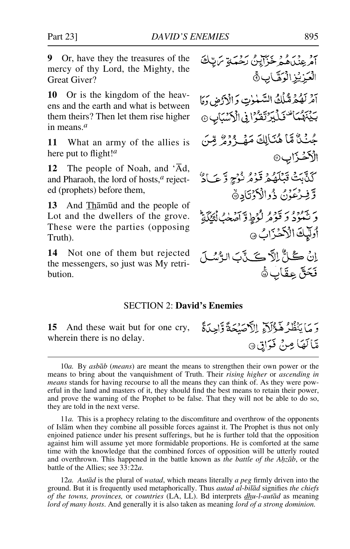**9** Or, have they the treasures of the mercy of thy Lord, the Mighty, the Great Giver?

**10** Or is the kingdom of the heavens and the earth and what is between them theirs? Then let them rise higher in means.*<sup>a</sup>*

**11** What an army of the allies is here put to flight!*<sup>a</sup>*

**12** The people of Noah, and 'Ad, and Pharaoh, the lord of hosts,*<sup>a</sup>* rejected (prophets) before them,

**13** And Thåm∂d and the people of Lot and the dwellers of the grove. These were the parties (opposing Truth).

**14** Not one of them but rejected the messengers, so just was My retribution.

#### SECTION 2: **David's Enemies**

حَمَّا بِنَظْرُ هَؤُلِّآءِ ال**َّاْصَنْحَةَ وَّاحِدَةً ﴾ [Let** and these wait but for one cry, wherein there is no delay.

12*a. Autåd* is the plural of *watad*, which means literally *a peg* firmly driven into the ground. But it is frequently used metaphorically. Thus *autad al-bilåd* signifies *the chiefs of the towns, provinces,* or *countries* (LA, LL). Bd interprets *dhu-l-autåd* as meaning *lord of many hosts*. And generally it is also taken as meaning *lord of a strong dominion.*

يز ويره و حراينُ رحمةٍ براياتَ<br>امرينگ هُمْ خَزَايِنُ رَحْمَةٍ بَرَايَّكَ

آمْرِ لَهُمْ مُّلُكُ السَّلَّوٰتِ وَالْأَرْضِ وَهَا بِيَّنِهُمَا تَسْكَيْرَتَقَرُّا فِي الْكَسَّيَابِ @

جُنْنٌ مَّا هُنَالِكَ مَهْيَ دُوْرٌ مِّنَ

َكَذَّبَتُ تَبَلَّهُمْ قَرْمُ نُوْجٍ وَّعَـَادٌ

دَيْنَهُوْدُ دَيْنَ فَرْطِ وَآمَنِكُ بِيَنَ يَقْ

اِنُ كُلُّ اِلَّا كَلَّ بَ الرُّسُلَ

وَّفِرْعَوْنُ ذُوالْأَوْتَادِةُ

أوليكَ الْأَخْزَابُ ٥

فَحَقَّ عِقَابٍ ۞

مَّالَهَا مِنْ فَوَاقٍ

الْعَزِيْزِ الْوَهَّابِ ﴾

الْأَخْزَابِ۞

<sup>10</sup>*a.* By *asbåb* (*means*) are meant the means to strengthen their own power or the means to bring about the vanquishment of Truth. Their *rising higher* or *ascending in means* stands for having recourse to all the means they can think of. As they were powerful in the land and masters of it, they should find the best means to retain their power, and prove the warning of the Prophet to be false. That they will not be able to do so, they are told in the next verse.

<sup>11</sup>*a.* This is a prophecy relating to the discomfiture and overthrow of the opponents of Islåm when they combine all possible forces against it. The Prophet is thus not only enjoined patience under his present sufferings, but he is further told that the opposition against him will assume yet more formidable proportions. He is comforted at the same time with the knowledge that the combined forces of opposition will be utterly routed and overthrown. This happened in the battle known as *the battle of the Ahzab*, or the battle of the Allies; see 33:22*a*.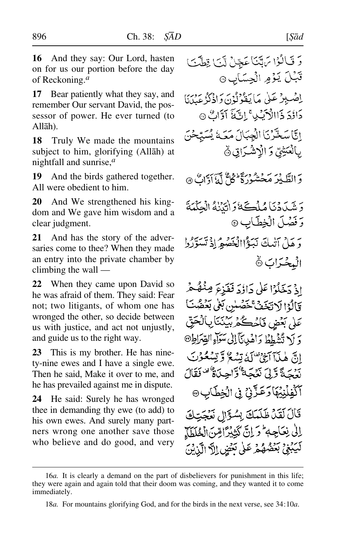**16** And they say: Our Lord, hasten on for us our portion before the day of Reckoning.*<sup>a</sup>*

**17** Bear patiently what they say, and remember Our servant David, the possessor of power. He ever turned (to Allåh).

**18** Truly We made the mountains subject to him, glorifying (Allåh) at nightfall and sunrise,*<sup>a</sup>*

**19** And the birds gathered together. All were obedient to him.

**20** And We strengthened his kingdom and We gave him wisdom and a clear judgment.

**21** And has the story of the adversaries come to thee? When they made an entry into the private chamber by climbing the wall —

**22** When they came upon David so he was afraid of them. They said: Fear not; two litigants, of whom one has wronged the other, so decide between us with justice, and act not unjustly, and guide us to the right way.

**23** This is my brother. He has ninety-nine ewes and I have a single ewe. Then he said, Make it over to me, and he has prevailed against me in dispute.

**24** He said: Surely he has wronged thee in demanding thy ewe (to add) to his own ewes. And surely many partners wrong one another save those who believe and do good, and very

اذْ دَخَلُوْا عَلَىٰ دَاؤُدَ فَفَزِعَ مِنْصٌمْ قَالَوْا لَا تَخَفَّ خَصْلِن بَغَى بَعْضُتَ عَلٰى بَعۡضٍ فَٱحۡكُمۡ بِّيۡنَٰنَالِٱلۡحَقّ دَ أَ\ تُشْغِطْ دَاهْدِينَآ إِلَى سَوَاءِ الصِّيَ انَّ هٰذَآ آَجَىٰ ۚ لَهُ تِسْعُ وَّ نِسْعُوْ بِهِ بِهِ حَجَّ دَّبِيّ نَعْجَمَةٌ وَّاجِبَاةٌ ۚ قَالَ آَكْفِلُنِيُهَا رَعَزَّنِيٌّ فِي الْخِطَابِ ۞ قَالَ لَقَدْ طَلَمَكَ بِسُؤَالٍ نَعْجَتِكَ إِلَى نِعَاجِهِ ۖ وَ إِنَّ كَثِيْرًامِّينَ الْعُلَطَآ لَّيَبْغِيْ بَعْضُهُمْ عَلَىٰ بَعْضٍ إِلَّا الَّذِيْنَ

<sup>16</sup>*a.* It is clearly a demand on the part of disbelievers for punishment in this life; they were again and again told that their doom was coming, and they wanted it to come immediately.

<sup>18</sup>*a.* For mountains glorifying God, and for the birds in the next verse, see 34:10*a*.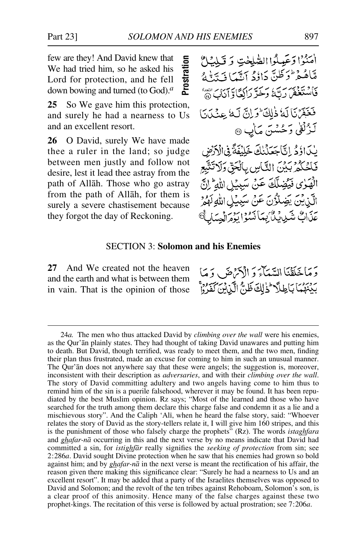few are they! And David knew that We had tried him, so he asked his Lord for protection, and he fell down bowing and turned (to God).*<sup>a</sup>*

**25** So We gave him this protection, and surely he had a nearness to Us and an excellent resort.

**26** O David, surely We have made thee a ruler in the land; so judge between men justly and follow not desire, lest it lead thee astray from the path of Allåh. Those who go astray from the path of Allåh, for them is surely a severe chastisement because they forgot the day of Reckoning.

#### SECTION 3: **Solomon and his Enemies**

**27** And We created not the heaven and the earth and what is between them in vain. That is the opinion of those

<sup>24</sup>*a.* The men who thus attacked David by *climbing over the wall* were his enemies, as the Qur'ån plainly states. They had thought of taking David unawares and putting him to death. But David, though terrified, was ready to meet them, and the two men, finding their plan thus frustrated, made an excuse for coming to him in such an unusual manner. The Qur'ån does not anywhere say that these were angels; the suggestion is, moreover, inconsistent with their description as *adversaries*, and with their *climbing over the wall*. The story of David committing adultery and two angels having come to him thus to remind him of the sin is a puerile falsehood, wherever it may be found. It has been repudiated by the best Muslim opinion. Rz says; "Most of the learned and those who have searched for the truth among them declare this charge false and condemn it as a lie and a mischievous story". And the Caliph 'Alß, when he heard the false story, said: "Whoever relates the story of David as the story-tellers relate it, I will give him 160 stripes, and this is the punishment of those who falsely charge the prophets<sup>7</sup> (Rz). The words *istaghfara* and *ghafar-nå* occurring in this and the next verse by no means indicate that David had committed a sin, for *istighfår* really signifies the *seeking of protection* from sin; see 2:286*a*. David sought Divine protection when he saw that his enemies had grown so bold against him; and by *ghafar-nå* in the next verse is meant the rectification of his affair, the reason given there making this significance clear: "Surely he had a nearness to Us and an excellent resort". It may be added that a party of the Israelites themselves was opposed to David and Solomon; and the revolt of the ten tribes against Rehoboam, Solomon's son, is a clear proof of this animosity. Hence many of the false charges against these two prophet-kings. The recitation of this verse is followed by actual prostration; see 7:206*a*. provides the recited on the fell by a state of this verse is followed the recit of the recit of the recit of the recit of the recit of the recit of the recit of the recit of the recit of the recit of the recit of the reci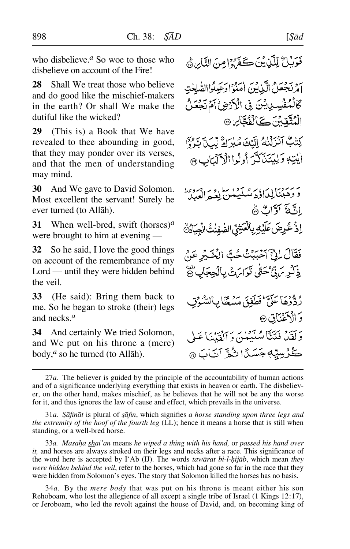who disbelieve.*<sup>a</sup>* So woe to those who disbelieve on account of the Fire!

**28** Shall We treat those who believe and do good like the mischief-makers in the earth? Or shall We make the dutiful like the wicked?

**29** (This is) a Book that We have revealed to thee abounding in good, that they may ponder over its verses, and that the men of understanding may mind.

**30** And We gave to David Solomon. Most excellent the servant! Surely he ever turned (to Allåh).

**31** When well-bred, swift (horses)*<sup>a</sup>* were brought to him at evening —

**32** So he said, I love the good things on account of the remembrance of my Lord — until they were hidden behind the veil.

**33** (He said): Bring them back to me. So he began to stroke (their) legs and necks.*<sup>a</sup>*

**34** And certainly We tried Solomon, and We put on his throne a (mere) body,*<sup>a</sup>* so he turned (to Allåh).

مَوِّيلٌ لِلَّذِينَ كَفَرُوا مِنَ النَّابِرِ ثَمَّ

آمرتجعَلُ الَّذِينَ امْنُوْا رَعِيلُواالصَّلِحْتِ كَالْمُفْسِدِينِينَ فِي الْأَرْضِ أَمْ نَجْعَه الْمُتَّقِينَ كَالْفُجَّائِ۞

كِتَبِّ آَنْزَلْنَهُ إِلَيْكَ مُلِرَاةٌ لِّكُمْ تَرْدُّ ايْتِهِ وَلِيَتَنَكَّرَ أُولُوا الْأَلْبَابِ @

ئر من المائز و من المطروع الموطن.<br>فروهبننا لبداؤد مسليكين يعبد العبيد الثَّلفَ آوَّاتٌ رُّمَّ اذُ عُرِضَ عَلَيْهِ بِالْعَشِيِّ الصَّفِنْتُ الْجِيَادُةُ فَقَالَ الِّيِّ آَحْبَبْتُ حُبَّ الْخَيْرِ عَنْ ذِكْرِ يَ فِيٌّ حَتَّىٰ تَوَايَرَتْ بِالْجِجَابِ هِ ۚ رُدُّدُهَا عَلَيَّ ٰ فَطَفِقَ مَسْعَنَا بِالسُّهْنِي

وَ الْأَعْيَنَاتِ© وَلَقَدْ فَتَنَّا سُلَيْهُنَّ وَٱلْقَيْنَا عَلَى ڴڒڛێۣ؋ۻؘٮٙڒا شُمَّ آنَابَ ۞

27*a.* The believer is guided by the principle of the accountability of human actions and of a significance underlying everything that exists in heaven or earth. The disbeliever, on the other hand, makes mischief, as he believes that he will not be any the worse for it, and thus ignores the law of cause and effect, which prevails in the universe.

31*a. ˝åfinåt* is plural of *©åfin*, which signifies *a horse standing upon three legs and the extremity of the hoof of the fourth leg* (LL); hence it means a horse that is still when standing, or a well-bred horse.

33*a. Masa√a shai'an* means *he wiped a thing with his hand,* or *passed his hand over it,* and horses are always stroked on their legs and necks after a race. This significance of the word here is accepted by I'Ab (IJ). The words *tawārat bi-l-hijāb*, which mean *they were hidden behind the veil*, refer to the horses, which had gone so far in the race that they were hidden from Solomon's eyes. The story that Solomon killed the horses has no basis.

34*a.* By the *mere body* that was put on his throne is meant either his son Rehoboam, who lost the allegience of all except a single tribe of Israel (1 Kings 12:17), or Jeroboam, who led the revolt against the house of David, and, on becoming king of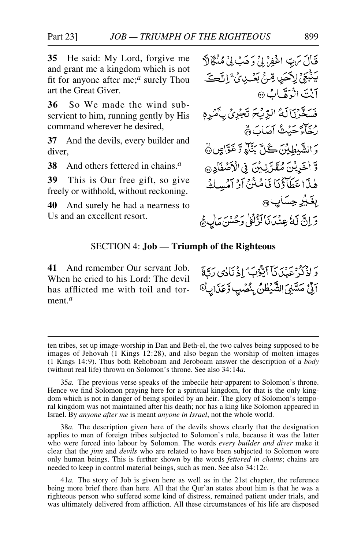**35** He said: My Lord, forgive me and grant me a kingdom which is not fit for anyone after me;*<sup>a</sup>* surely Thou art the Great Giver.

**36** So We made the wind subservient to him, running gently by His command wherever he desired,

**37** And the devils, every builder and diver,

**38** And others fettered in chains.*<sup>a</sup>*

**39** This is Our free gift, so give freely or withhold, without reckoning.

**40** And surely he had a nearness to Us and an excellent resort.



### SECTION 4: **Job — Triumph of the Righteous**

**41** And remember Our servant Job. When he cried to his Lord: The devil has afflicted me with toil and torment.*<sup>a</sup>*

دَ اذْكَرْعَيْدَيْآَ ٱيّْدُبْ اذْنَادِي دَتَةً الِّيْ مَسَّنِىَ الشَّيْطُنُ بِمُّصُبٍ وَّعَذَانِكُ

38*a.* The description given here of the devils shows clearly that the designation applies to men of foreign tribes subjected to Solomon's rule, because it was the latter who were forced into labour by Solomon. The words *every builder and diver* make it clear that the *jinn* and *devils* who are related to have been subjected to Solomon were only human beings. This is further shown by the words *fettered in chains*; chains are needed to keep in control material beings, such as men. See also 34:12*c*.

41*a.* The story of Job is given here as well as in the 21st chapter, the reference being more brief there than here. All that the Qur'ån states about him is that he was a righteous person who suffered some kind of distress, remained patient under trials, and was ultimately delivered from affliction. All these circumstances of his life are disposed

ten tribes, set up image-worship in Dan and Beth-el, the two calves being supposed to be images of Jehovah (1 Kings 12:28), and also began the worship of molten images (1 Kings 14:9). Thus both Rehoboam and Jeroboam answer the description of a *body* (without real life) thrown on Solomon's throne. See also 34:14*a*.

<sup>35</sup>*a.* The previous verse speaks of the imbecile heir-apparent to Solomon's throne. Hence we find Solomon praying here for a spiritual kingdom, for that is the only kingdom which is not in danger of being spoiled by an heir. The glory of Solomon's temporal kingdom was not maintained after his death; nor has a king like Solomon appeared in Israel. By *anyone after me* is meant *anyone in Israel*, not the whole world.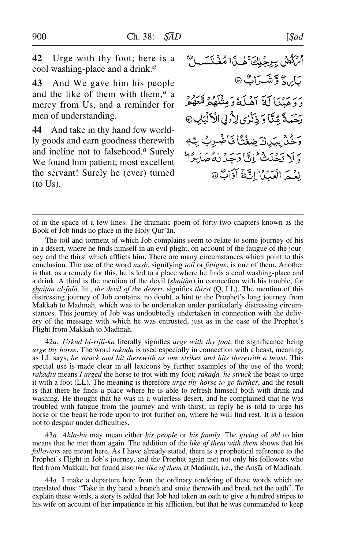**42** Urge with thy foot; here is a cool washing-place and a drink.*<sup>a</sup>*

**43** And We gave him his people and the like of them with them,*<sup>a</sup>* a mercy from Us, and a reminder for men of understanding.

**44** And take in thy hand few worldly goods and earn goodness therewith and incline not to falsehood.*<sup>a</sup>* Surely We found him patient; most excellent the servant! Surely he (ever) turned (to Us).

فرطق بيرخلك فسأبا مُغَنِّبَه بَابِرِ دُ وَتَشَيَرَاتُ ۞ دَ دِيمَنَا لَهُ أَهْلَةُ وَمِثْلَهُمْ مَّعْهُمْ رَحْمَةً مِّنَّا وَ ذِكْرٰى لِأُولِي الْأَلْبَابِ۞ رَحْنْ بِيَاكَ ضِغْتًا فَأَضْرِبُ بِّهِ دَ لَا تَحْنَنْنَيْ إِنَّا دَحَدُنْ فَي صَابِدًا لِمَ نغير اصروط يعجج أوَّاتٌ @

of in the space of a few lines. The dramatic poem of forty-two chapters known as the Book of Job finds no place in the Holy Qur'ån.

The toil and torment of which Job complains seem to relate to some journey of his in a desert, where he finds himself in an evil plight, on account of the fatigue of the journey and the thirst which afflicts him. There are many circumstances which point to this conclusion. The use of the word *nush*, signifying *toil* or *fatigue*, is one of them. Another is that, as a remedy for this, he is led to a place where he finds a cool washing-place and a drink. A third is the mention of the devil (*shaiƌn*) in connection with his trouble, for *shaitān al-falā*, lit., *the devil of the desert*, signifies *thirst* (Q, LL). The mention of this distressing journey of Job contains, no doubt, a hint to the Prophet's long journey from Makkah to Madinah, which was to be undertaken under particularly distressing circumstances. This journey of Job was undoubtedly undertaken in connection with the delivery of the message with which he was entrusted, just as in the case of the Prophet's Flight from Makkah to Madinah.

42*a. Urkud bi-rijli-ka* literally signifies *urge with thy foot*, the significance being *urge thy horse*. The word *rakada* is used especially in connection with a beast, meaning, as LL says, *he struck and hit therewith as one strikes and hits therewith a beast*. This special use is made clear in all lexicons by further examples of the use of the word; *rakadtu* means *I urged* the horse to trot with my foot; *rakada*, *he struck* the beast to urge it with a foot (LL). The meaning is therefore *urge thy horse to go further*, and the result is that there he finds a place where he is able to refresh himself both with drink and washing. He thought that he was in a waterless desert, and he complained that he was troubled with fatigue from the journey and with thirst; in reply he is told to urge his horse or the beast he rode upon to trot further on, where he will find rest. It is a lesson not to despair under difficulties.

43*a. Ahla-h∂* may mean either *his people* or *his family*. The *giving* of *ahl* to him means that he met them again. The addition of the *like of them with them* shows that his *followers* are meant here. As I have already stated, there is a prophetical reference to the Prophet's Flight in Job's journey, and the Prophet again met not only his followers who fled from Makkah, but found also *the like of them* at Madinah, i.e., the Anşār of Madinah.

44*a.* I make a departure here from the ordinary rendering of these words which are translated thus: "Take in thy hand a branch and smite therewith and break not the oath". To explain these words, a story is added that Job had taken an oath to give a hundred stripes to his wife on account of her impatience in his affliction, but that he was commanded to keep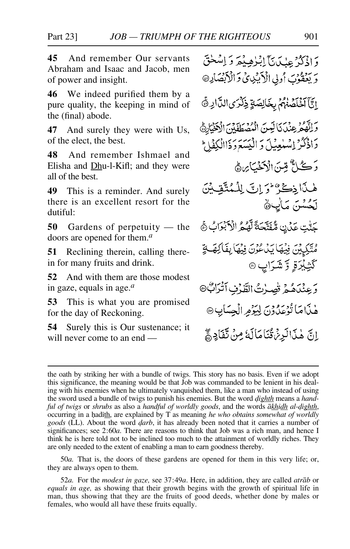**45** And remember Our servants Abraham and Isaac and Jacob, men of power and insight.

**46** We indeed purified them by a pure quality, the keeping in mind of the (final) abode.

**47** And surely they were with Us, of the elect, the best.

**48** And remember Ishmael and Elisha and Dhu-l-Kifl; and they were all of the best.

**49** This is a reminder. And surely there is an excellent resort for the dutiful:

**50** Gardens of perpetuity — the doors are opened for them.*<sup>a</sup>*

**51** Reclining therein, calling therein for many fruits and drink.

**52** And with them are those modest in gaze, equals in age.*<sup>a</sup>*

**53** This is what you are promised for the day of Reckoning.

**54** Surely this is Our sustenance; it will never come to an end —

وَاذْكُرُ عِنْكَمْ يَأْلِبُلْهِ يُعَرَ وَ اِسْلَحْقَ وَ يَعْقُوْبَ أُولِي الْأَبَيْدِيِّ وَالْأَبْصَارِ @ إِيَّآ آخْلَصْنَهُمْ بِخَالِصَةٍ ذِكْرَى الدَّارِ ۞ وَانْهُمْ عِنْدَنَا لَيْنَ الْمُصْطَفَيْنَ الْأَخْيَارِيُّ دَاذْكُرْ إِسْلَعِيْلَ دَ الْيَسَعَرَدَ ْالْلَكِفَاحْ دَ ڪُلُّ مِينَ الْآخَيَـٰ بِهِ هُي طِيدًا ذِكْرٌ وَ إِنَّ لِلْمُتَّقِيدِينَ لَحُسْنَ مَأْيِينَ جَنّْتِ عَدُنِ مُّفَتَّحَةً لَّهُمُ الْأَبْرَابُ ﴾ مُتَّكِيِّينَ فِيُهَا يَدْعُوْنَ فِيهَا بِفَاكِهَةٍ گَثِبُزَةٍ وَ*شَ*رَابٍ ۞ وَعِنْدَهُمْ قُصِيرْتُ الطَّهْفِ أَتْرَابُّ® هٰذَامَا تُؤْعَدُونَ لِيَوْمِرِ الْجِسَابِ® إِنَّ هٰذَا لَرِنْ ثُنَامَالَهُ مِنْ تَفَادِيٌّ

50*a.* That is, the doors of these gardens are opened for them in this very life; or, they are always open to them.

52*a.* For the *modest in gaze,* see 37:49*a*. Here, in addition, they are called *atråb* or *equals in age,* as showing that their growth begins with the growth of spiritual life in man, thus showing that they are the fruits of good deeds, whether done by males or females, who would all have these fruits equally.

the oath by striking her with a bundle of twigs. This story has no basis. Even if we adopt this significance, the meaning would be that Job was commanded to be lenient in his dealing with his enemies when he ultimately vanquished them, like a man who instead of using the sword used a bundle of twigs to punish his enemies. But the word *˙ighth* means a *handful of twigs* or *shrubs* as also a *handful of worldly goods*, and the words  $\overline{akhidh}$  *al-dighth*, occurring in a hadith, are explained by T as meaning *he who obtains somewhat of worldly goods* (LL). About the word *˙arb*, it has already been noted that it carries a number of significances; see 2:60*a*. There are reasons to think that Job was a rich man, and hence I think he is here told not to be inclined too much to the attainment of worldly riches. They are only needed to the extent of enabling a man to earn goodness thereby.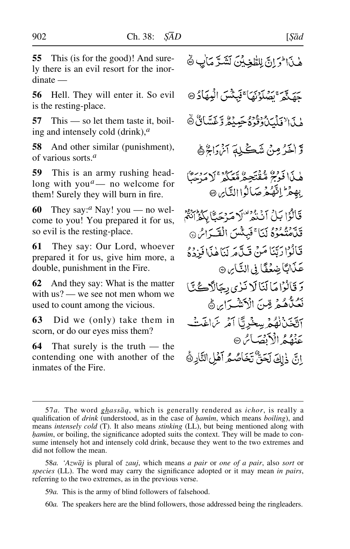**55** This (is for the good)! And surely there is an evil resort for the inordinate —

**56** Hell. They will enter it. So evil is the resting-place.

**57** This — so let them taste it, boiling and intensely cold (drink),*<sup>a</sup>*

**58** And other similar (punishment), of various sorts.*<sup>a</sup>*

**59** This is an army rushing headlong with you*a*— no welcome for them! Surely they will burn in fire.

**60** They say:*<sup>a</sup>* Nay! you — no welcome to you! You prepared it for us, so evil is the resting-place.

**61** They say: Our Lord, whoever prepared it for us, give him more, a double, punishment in the Fire.

**62** And they say: What is the matter with us? — we see not men whom we used to count among the vicious.

**63** Did we (only) take them in scorn, or do our eyes miss them?

**64** That surely is the truth — the contending one with another of the inmates of the Fire.

هٰذَا وَإِنَّ لِلطَّخِيْنَ لَشَدَّمَاٰتٍ ﴾

حَقِيدٌ مَصْلَوْنَهَا ۚ فَبِئْتُسَ الْبِيهَادُ @ هٰذَا لِٱفْلَىٰنُ وَقُوۡعُ حَبِيۡهُ وَّغَسَّانُۢ ۞

وَّ اٰخَرُ مِنْ شَڪَلِهَ اَنْ اَلِهُمْ اَ

هٰذَا فَوْتِحٌ مُّقْتَحِطٌ مَّعَكُمْ ۚ لَا مَدْحَنَّا بِهِمْ الثَّهُمْ صَالُوا النَّايِرِ ۞ قَالُوْا بَلْ أَنْتَمْ لَا مَرْحَبًّا بِكُفُرَانَةً قَلَّهُنُّهُوۡوُمُ لَيَآ ۚ فَبِئِئۡسَ الۡقَيَرَاصُ ۞ قَالُوْا رَبَّنَا مَنْ قَلَّامَرِ لَنَا هٰذَا فَزِدَة عَذَابًا صٰعُفًا فِي النَّاسِ ۞ دَ فَأَلْزَاهَالَنَالَا نَبْرِي دِجَالَاْڪُنَّا نَعَنَّاهُ فَرِقِينَ الْأَنْشَىرَايِنَ ﴾ آتَخَنْ نُهُمْ بِسِخْرِيًّا آمْرِ سَ اغَتْ عَنْفُهُمُ الْأَنْصَاسُ ۞ إِنَّ ذَلِكَ لَحَقٌّ تَخَاصُعُ آَهُلِ النَّارِرَةَ

<sup>57</sup>*a.* The word *ghassåq*, which is generally rendered as *ichor*, is really a qualification of *drink* (understood, as in the case of *hamim*, which means *boiling*), and means *intensely cold* (T). It also means *stinking* (LL), but being mentioned along with *hamim*, or boiling, the significance adopted suits the context. They will be made to consume intensely hot and intensely cold drink, because they went to the two extremes and did not follow the mean.

<sup>58</sup>*a. 'Azwåj* is plural of *zauj*, which means *a pair* or *one of a pair*, also *sort* or *species* (LL). The word may carry the significance adopted or it may mean *in pairs*, referring to the two extremes, as in the previous verse.

<sup>59</sup>*a.* This is the army of blind followers of falsehood.

<sup>60</sup>*a.* The speakers here are the blind followers, those addressed being the ringleaders.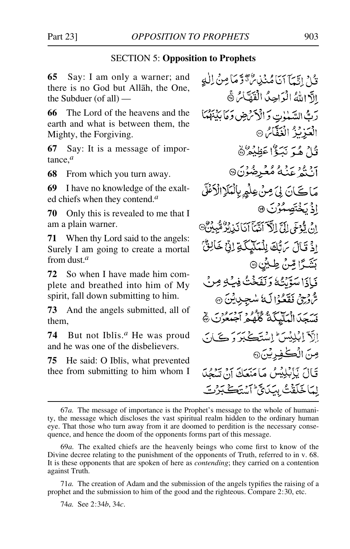#### SECTION 5: **Opposition to Prophets**

**65** Say: I am only a warner; and there is no God but Allåh, the One, the Subduer (of all) —

**66** The Lord of the heavens and the earth and what is between them, the Mighty, the Forgiving.

**67** Say: It is a message of importance,*<sup>a</sup>*

**68** From which you turn away.

**69** I have no knowledge of the exalted chiefs when they contend.*<sup>a</sup>*

**70** Only this is revealed to me that I am a plain warner.

**71** When thy Lord said to the angels: Surely I am going to create a mortal from dust.*<sup>a</sup>*

**72** So when I have made him complete and breathed into him of My spirit, fall down submitting to him.

**73** And the angels submitted, all of them,

**74** But not Iblßs.*<sup>a</sup>* He was proud and he was one of the disbelievers.

**75** He said: O Iblis, what prevented thee from submitting to him whom I

قُلْ إِنَّهَآ أَنَامُنۡذِينَ تَوَّمَا مِنۡ لِلْهِ الآ اللهُ الْوَاحِدُ الْقَهَّاسُ ١٥ رَبُّ السَّيْلُوتِ وَ الْأَكْرَبْضِ وَمَا بِكَيْنَهُمَا الْعَزِيْزُ الْغَفَّامُ ® قُارُ هُيَرَ نَبَيْءُ عَظِيْمُرٌ ﴾ برو و بروه د د د د .<br>ان په عنه مُعُبرهُ د کا مَاڪَانَ لِيَ مِنْ عِلْمِهِ بِالْمَلَإِ الْأَعْلَى اذْ يَخْتَصِمُوْنَ @ انْ يُدْخَى إِلَيَّ إِلَاّ أَيْتَأَ أَيَا نَبْ بِنُوْ مُّبِيْنٌ۞ اذْ تَالَ سَٱلْكَ لِلْمَلَيْكَةِ إِنِّ خَالِقٌ بَشَـرًا مِّنۡ طِـبُنِ۞ فَيَأْذَا سَوَّيْتُهُ وَنَفَخْتُ فِيَهِ مِنْ شَّ رُجِيٍّ فَقَعُوْا لَهُ سُجِيلِيْنَ ۞ نِسَجَدَ الْمَلْيَكَةُ كُلُّهُمْ آجَنَّهُوْنَ ﴾ إلآدَ إِبْلِيْسَ إِسْتَكَ يَبَرَ دَيَجَ) بَ صِنَ الْكَفِرِيْنَ، قَالَ يَابِلِيْسُ مَامَنَعَكَ آنَ تَسْعُدَ لِمَاخَلَقْتُ بِيَدَى مِّ أَسْتَكَبَرُتَ

74*a.* See 2:34*b*, 34*c*.

<sup>67</sup>*a.* The message of importance is the Prophet's message to the whole of humanity, the message which discloses the vast spiritual realm hidden to the ordinary human eye. That those who turn away from it are doomed to perdition is the necessary consequence, and hence the doom of the opponents forms part of this message.

<sup>69</sup>*a.* The exalted chiefs are the heavenly beings who come first to know of the Divine decree relating to the punishment of the opponents of Truth, referred to in v. 68. It is these opponents that are spoken of here as *contending*; they carried on a contention against Truth.

<sup>71</sup>*a.* The creation of Adam and the submission of the angels typifies the raising of a prophet and the submission to him of the good and the righteous. Compare 2:30, etc.